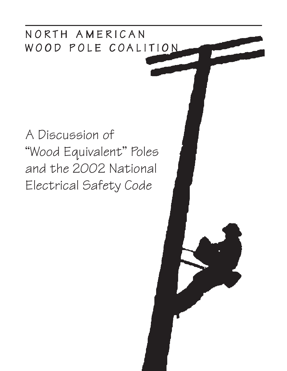## NORTH AMERICAN WOOD POLE COALITION

# A Discussion of "Wood Equivalent" Poles and the 2002 National Electrical Safety Code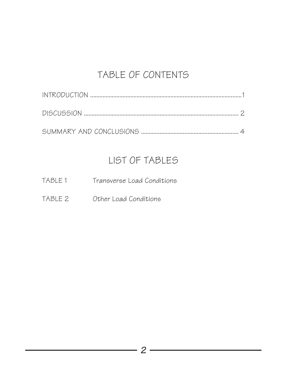### TABLE OF CONTENTS

### LIST OF TABLES

- TABLE 1 Transverse Load Conditions
- TABLE 2 Other Load Conditions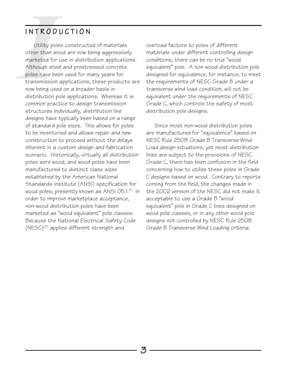#### INTRODUCTION

**INTROD**<br>Utility po<br>other than w<br>marketed for<br>Although ste<br>poles have be<br>transmission<br>now being us<br>distribution Utility poles constructed of materials other than wood are now being aggressively marketed for use in distribution applications. Although steel and prestressed concrete poles have been used for many years for transmission applications, these products are now being used on a broader basis in distribution pole applications. Whereas it is common practice to design transmission structures individually, distribution line designs have typically been based on a range of standard pole sizes. This allows for poles to be inventoried and allows repair and new construction to proceed without the delays inherent in a custom design and fabrication scenario. Historically, virtually all distribution poles were wood, and wood poles have been manufactured to distinct class sizes established by the American National Standards Institute (ANSI) specification for wood poles, presently known as ANSI 05.1.<sup>(1)</sup> In order to improve marketplace acceptance, non-wood distribution poles have been marketed as "wood equivalent" pole classes. Because the National Electrical Safety Code  $(NESC)^{(3)}$  applies different strength and

overload factors to poles of different materials under different controlling design conditions, there can be no true "wood equivalent" pole. A non-wood distribution pole designed for equivalence, for instance, to meet the requirements of NESC Grade B under a transverse wind load condition, will not be equivalent under the requirements of NESC Grade C, which controls the safety of most distribution pole designs.

Since most non-wood distribution poles are manufactured for "equivalence" based on NESC Rule 250B Grade B Transverse Wind Load design situations, yet most distribution lines are subject to the provisions of NESC Grade C, there has been confusion in the field concerning how to utilize these poles in Grade C designs based on wood. Contrary to reports coming from the field, the changes made in the 2002 version of the NESC did not make it acceptable to use a Grade B "wood equivalent" pole in Grade C lines designed on wood pole classes, or in any other wood pole designs not controlled by NESC Rule 250B Grade B Transverse Wind Loading criteria.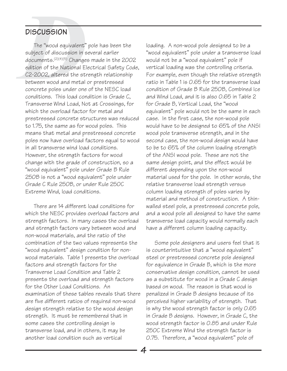#### DISCUSSION

**DISCUSSION**<br>The "wood equivalent" pole has been the<br>subject of discussion in several earlier<br>documents.<sup>(2)(4)(5)</sup> Changes made in the 200<br>edition of the National Electrical Safety Cc<br>C2-2002, altered the strength relatio subject of discussion in several earlier documents.(2)(4)(5) Changes made in the 2002 edition of the National Electrical Safety Code, C2-2002, altered the strength relationship between wood and metal or prestressed concrete poles under one of the NESC load conditions. This load condition is Grade C, Transverse Wind Load, Not at Crossings, for which the overload factor for metal and prestressed concrete structures was reduced to 1.75, the same as for wood poles. This means that metal and prestressed concrete poles now have overload factors equal to wood in all transverse wind load conditions. However, the strength factors for wood change with the grade of construction, so a "wood equivalent" pole under Grade B Rule 250B is not a "wood equivalent" pole under Grade C Rule 250B, or under Rule 250C Extreme Wind, load conditions.

There are 14 different load conditions for which the NESC provides overload factors and strength factors. In many cases the overload and strength factors vary between wood and non-wood materials, and the ratio of the combination of the two values represents the "wood equivalent" design condition for nonwood materials. Table 1 presents the overload factors and strength factors for the Transverse Load Condition and Table 2 presents the overload and strength factors for the Other Load Conditions. An examination of these tables reveals that there are five different ratios of required non-wood design strength relative to the wood design strength. It must be remembered that in some cases the controlling design is transverse load, and in others, it may be another load condition such as vertical

loading. A non-wood pole designed to be a "wood equivalent" pole under a transverse load would not be a "wood equivalent" pole if vertical loading was the controlling criteria. For example, even though the relative strength ratio in Table 1 is 0.65 for the transverse load condition of Grade B Rule 250B, Combined Ice and Wind Load, and it is also 0.65 in Table 2 for Grade B, Vertical Load, the "wood equivalent" pole would not be the same in each case. In the first case, the non-wood pole would have to be designed to 65% of the ANSI wood pole transverse strength, and in the second case, the non-wood design would have to be to 65% of the column loading strength of the ANSI wood pole. These are not the same design point, and the effect would be different depending upon the non-wood material used for the pole. In other words, the relative transverse load strength versus column loading strength of poles varies by material and method of construction. A thinwalled steel pole, a prestressed concrete pole, and a wood pole all designed to have the same transverse load capacity would normally each have a different column loading capacity.

Some pole designers and users feel that it is counterintuitive that a "wood equivalent" steel or prestressed concrete pole designed for equivalence in Grade B, which is the more conservative design condition, cannot be used as a substitute for wood in a Grade C design based on wood. The reason is that wood is penalized in Grade B designs because of its perceived higher variability of strength. That is why the wood strength factor is only 0.65 in Grade B designs. However, in Grade C, the wood strength factor is 0.85 and under Rule 250C Extreme Wind the strength factor is 0.75. Therefore, a "wood equivalent" pole of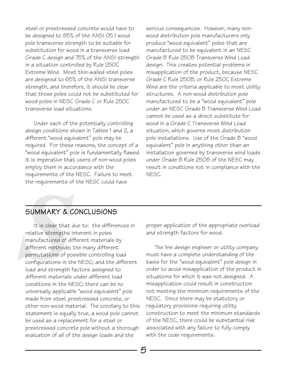steel or prestressed concrete would have to be designed to 85% of the ANSI O5.1 wood pole transverse strength to be suitable for substitution for wood in a transverse load Grade C design and 75% of the ANSI strength in a situation controlled by Rule 250C Extreme Wind. Most thin-walled steel poles are designed to 65% of the ANSI transverse strength, and therefore, it should be clear that those poles could not be substituted for wood poles in NESC Grade C or Rule 250C transverse load situations.

Under each of the potentially controlling design conditions shown in Tables 1 and 2, a different "wood equivalent" pole may be required. For these reasons, the concept of a "wood equivalent" pole is fundamentally flawed. It is imperative that users of non-wood poles employ them in accordance with the requirements of the NESC. Failure to meet the requirements of the NESC could have

serious consequences. However, many nonwood distribution pole manufacturers only produce "wood equivalent" poles that are manufactured to be equivalent in an NESC Grade B Rule 250B Transverse Wind Load design. This creates potential problems in misapplication of the product, because NESC Grade C Rule 250B, or Rule 250C Extreme Wind are the criteria applicable to most utility structures. A non-wood distribution pole manufactured to be a "wood equivalent" pole under an NESC Grade B Transverse Wind Load cannot be used as a direct substitute for wood in a Grade C Transverse Wind Load situation, which governs most distribution pole installations. Use of the Grade B "wood equivalent" pole in anything other than an installation governed by transverse wind loads under Grade B Rule 250B of the NESC may result in conditions not in compliance with the NESC.

#### SUMMARY & CONCLUSIONS

**SUMMARY & C**<br>
It is clear that<br>
relative strengths<br>
manufactured of d<br>
different methods;<br>
permutations of pc<br>
configurations in tl<br>
load and strength<br>
different materials It is clear that due to: the differences in relative strengths inherent in poles manufactured of different materials by different methods; the many different permutations of possible controlling load configurations in the NESC; and the different load and strength factors assigned to different materials under different load conditions in the NESC; there can be no universally applicable "wood equivalent" pole made from steel, prestressed concrete, or other non-wood material. The corollary to this statement is equally true, a wood pole cannot be used as a replacement for a steel or prestressed concrete pole without a thorough evaluation of all of the design loads and the

proper application of the appropriate overload and strength factors for wood.

The line design engineer or utility company must have a complete understanding of the basis for the "wood equivalent" pole design in order to avoid misapplication of the product in situations for which it was not designed. A misapplication could result in construction not meeting the minimum requirements of the NESC. Since there may be statutory or regulatory provisions requiring utility construction to meet the minimum standards of the NESC, there could be substantial risk associated with any failure to fully comply with the code requirements.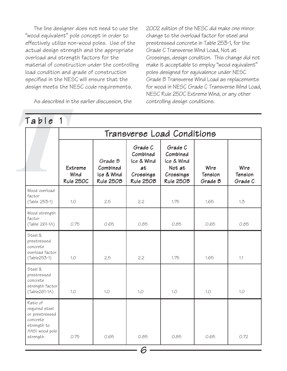The line designer does not need to use the "wood equivalent" pole concept in order to effectively utilize non-wood poles. Use of the actual design strength and the appropriate overload and strength factors for the material of construction under the controlling load condition and grade of construction specified in the NESC will ensure that the design meets the NESC code requirements.

2002 edition of the NESC did make one minor change to the overload factor for steel and prestressed concrete in Table 253-1, for the Grade C Transverse Wind Load, Not at Crossings, design condition. This change did not make it acceptable to employ "wood equivalent" poles designed for equivalence under NESC Grade B Transverse Wind Load as replacements for wood in NESC Grade C Transverse Wind Load, NESC Rule 250C Extreme Wind, or any other controlling design conditions.

|                                                                                                       | Transverse Load Conditions          |                                                |                                                                   |                                                                       |                            |                            |  |  |  |  |
|-------------------------------------------------------------------------------------------------------|-------------------------------------|------------------------------------------------|-------------------------------------------------------------------|-----------------------------------------------------------------------|----------------------------|----------------------------|--|--|--|--|
|                                                                                                       | Extreme<br>Wind<br><b>Rule 250C</b> | Grade B<br>Combined<br>Ice & Wind<br>Rule 250B | Grade C<br>Combined<br>Ice & Wind<br>at<br>Crossings<br>Rule 250B | Grade C<br>Combined<br>Ice & Wind<br>Not at<br>Crossings<br>Rule 250B | Wire<br>Tension<br>Grade B | Wire<br>Tension<br>Grade C |  |  |  |  |
| Wood overload<br>factor<br>(Table 253-1)                                                              | 1.0                                 | 2.5                                            | 2.2                                                               | 1.75                                                                  | 1.65                       | 1.3                        |  |  |  |  |
| Wood strength<br>factor<br>(Table 261-1A)                                                             | 0.75                                | 0.65                                           | 0.85                                                              | 0.85                                                                  | 0.65                       | 0.85                       |  |  |  |  |
| Steel &<br>prestressed<br>concrete<br>overload factor<br>$(Table253-1)$                               | 1.0                                 | 2.5                                            | 2.2                                                               | 1.75                                                                  | 1.65                       | 1.1                        |  |  |  |  |
| Steel &<br>prestressed<br>concrete<br>strength factor<br>$(Table261-1A)$                              | 1.0                                 | 1.0                                            | 1.0                                                               | 1.0                                                                   | 1.0                        | 1.0                        |  |  |  |  |
| Ratio of<br>required steel<br>or prestressed<br>concrete<br>strength to<br>ANSI wood pole<br>strength | 0.75                                | 0.65                                           | 0.85                                                              | 0.85                                                                  | 0.65                       | 0.72                       |  |  |  |  |